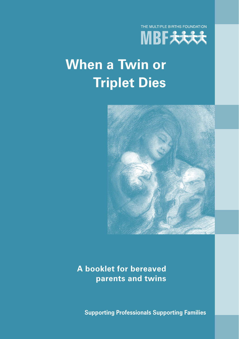

# **When a Twin or Triplet Dies**



**A booklet for bereaved parents and twins**

**Supporting Professionals Supporting Families**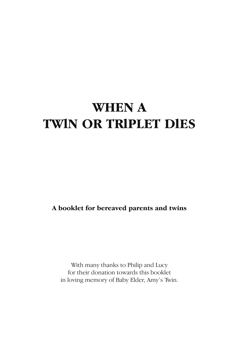## **WHEN A TWlN OR TRlPLET DlES**

**A booklet for bereaved parents and twins**

With many thanks to Philip and Lucy for their donation towards this booklet in loving memory of Baby Elder, Amy's Twin.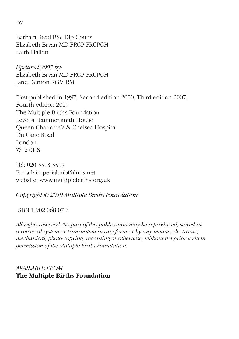Barbara Read BSc Dip Couns Elizabeth Bryan MD FRCP FRCPCH Faith Hallett

*Updated 2007 by:* Elizabeth Bryan MD FRCP FRCPCH Jane Denton RGM RM

First published in 1997, Second edition 2000, Third edition 2007, Fourth edition 2019 The Multiple Births Foundation Level 4 Hammersmith House Queen Charlotte's & Chelsea Hospital Du Cane Road London W12 0HS

Tel: 020 3313 3519 E-mail: imperial.mbf@nhs.net website: www.multiplebirths.org.uk

*Copyright © 2019 Multiple Births Foundation*

## ISBN 1 902 068 07 6

*All rights reserved. No part of this publication may be reproduced, stored in a retrieval system or transmitted in any form or by any means, electronic, mechanical, photo-copying, recording or otherwise, without the prior written permission of the Multiple Births Foundation.* 

## *AVAILABLE FROM* **The Multiple Births Foundation**

By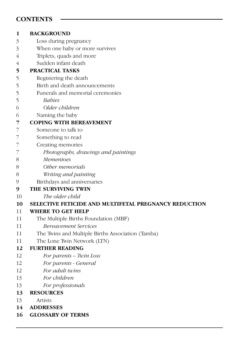## **CONTENTS**

| 1  | <b>BACKGROUND</b>                                            |
|----|--------------------------------------------------------------|
| 3  | Loss during pregnancy                                        |
| 3  | When one baby or more survives                               |
| 4  | Triplets, quads and more                                     |
| 4  | Sudden infant death                                          |
| 5  | <b>PRACTICAL TASKS</b>                                       |
| 5  | Registering the death                                        |
| 5  | Birth and death announcements                                |
| 5  | Funerals and memorial ceremonies                             |
| 5  | <i>Babies</i>                                                |
| 6  | Older children                                               |
| 6  | Naming the baby                                              |
| 7  | <b>COPING WITH BEREAVEMENT</b>                               |
| 7  | Someone to talk to                                           |
| 7  | Something to read                                            |
| 7  | Creating memories                                            |
| 7  | Photographs, drawings and paintings                          |
| 8  | <b>Mementoes</b>                                             |
| 8  | Other memorials                                              |
| 8  | Writing and painting                                         |
| 9  | Birthdays and anniversaries                                  |
| 9  | THE SURVIVING TWIN                                           |
| 10 | The older child                                              |
| 10 | <b>SELECTIVE FETICIDE AND MULTIFETAL PREGNANCY REDUCTION</b> |
| 11 | <b>WHERE TO GET HELP</b>                                     |
| 11 | The Multiple Births Foundation (MBF)                         |
| 11 | <b>Bereavement Services</b>                                  |
| 11 | The Twins and Multiple Births Association (Tamba)            |
| 11 | The Lone Twin Network (LTN)                                  |
| 12 | <b>FURTHER READING</b>                                       |
| 12 | For parents - Twin Loss                                      |
| 12 | For parents - General                                        |
| 12 | For adult twins                                              |
| 13 | For children                                                 |
| 13 | For professionals                                            |
| 13 | <b>RESOURCES</b>                                             |
| 13 | Artists                                                      |
| 14 | <b>ADDRESSES</b>                                             |
| 16 | <b>GLOSSARY OF TERMS</b>                                     |
|    |                                                              |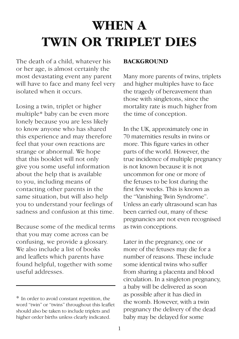## **WHEN A TWIN OR TRIPLET DIES**

The death of a child, whatever his or her age, is almost certainly the most devastating event any parent will have to face and many feel very isolated when it occurs.

Losing a twin, triplet or higher multiple\* baby can be even more lonely because you are less likely to know anyone who has shared this experience and may therefore feel that your own reactions are strange or abnormal. We hope that this booklet will not only give you some useful information about the help that is available to you, including means of contacting other parents in the same situation, but will also help you to understand your feelings of sadness and confusion at this time.

Because some of the medical terms that you may come across can be confusing, we provide a glossary. We also include a list of books and leaflets which parents have found helpful, together with some useful addresses.

#### **BACKGROUND**

Many more parents of twins, triplets and higher multiples have to face the tragedy of bereavement than those with singletons, since the mortality rate is much higher from the time of conception.

In the UK, approximately one in 70 maternities results in twins or more. This figure varies in other parts of the world. However, the true incidence of multiple pregnancy is not known because it is not uncommon for one or more of the fetuses to be lost during the first few weeks. This is known as the "Vanishing Twin Syndrome". Unless an early ultrasound scan has been carried out, many of these pregnancies are not even recognised as twin conceptions.

Later in the pregnancy, one or more of the fetuses may die for a number of reasons. These include some identical twins who suffer from sharing a placenta and blood circulation. In a singleton pregnancy, a baby will be delivered as soon as possible after it has died in the womb. However, with a twin pregnancy the delivery of the dead baby may be delayed for some

<sup>\*</sup> In order to avoid constant repetition, the word "twin" or "twins" throughout this leaflet should also be taken to include triplets and higher order births unless clearly indicated.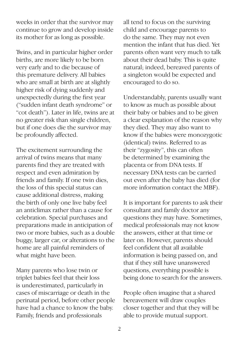weeks in order that the survivor may continue to grow and develop inside its mother for as long as possible.

Twins, and in particular higher order births, are more likely to be born very early and to die because of this premature delivery. All babies who are small at birth are at slightly higher risk of dying suddenly and unexpectedly during the first year ("sudden infant death syndrome" or "cot death"). Later in life, twins are at no greater risk than single children, but if one does die the survivor may be profoundly affected.

The excitement surrounding the arrival of twins means that many parents find they are treated with respect and even admiration by friends and family. If one twin dies, the loss of this special status can cause additional distress, making the birth of only one live baby feel an anticlimax rather than a cause for celebration. Special purchases and preparations made in anticipation of two or more babies, such as a double buggy, larger car, or alterations to the home are all painful reminders of what might have been.

Many parents who lose twin or triplet babies feel that their loss is underestimated, particularly in cases of miscarriage or death in the perinatal period, before other people have had a chance to know the baby. Family, friends and professionals

all tend to focus on the surviving child and encourage parents to do the same. They may not even mention the infant that has died. Yet parents often want very much to talk about their dead baby. This is quite natural; indeed, bereaved parents of a singleton would be expected and encouraged to do so.

Understandably, parents usually want to know as much as possible about their baby or babies and to be given a clear explanation of the reason why they died. They may also want to know if the babies were monozygotic (identical) twins. Referred to as their "zygosity", this can often be determined by examining the placenta or from DNA tests. If necessary DNA tests can be carried out even after the baby has died (for more information contact the MBF).

It is important for parents to ask their consultant and family doctor any questions they may have. Sometimes, medical professionals may not know the answers, either at that time or later on. However, parents should feel confident that all available information is being passed on, and that if they still have unanswered questions, everything possible is being done to search for the answers.

People often imagine that a shared bereavement will draw couples closer together and that they will be able to provide mutual support.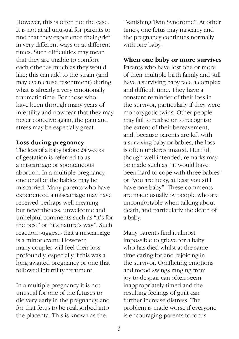However, this is often not the case. It is not at all unusual for parents to find that they experience their grief in very different ways or at different times. Such difficulties may mean that they are unable to comfort each other as much as they would like; this can add to the strain (and may even cause resentment) during what is already a very emotionally traumatic time. For those who have been through many years of infertility and now fear that they may never conceive again, the pain and stress may be especially great.

#### **Loss during pregnancy**

The loss of a baby before 24 weeks of gestation is referred to as a miscarriage or spontaneous abortion. In a multiple pregnancy, one or all of the babies may be miscarried. Many parents who have experienced a miscarriage may have received perhaps well meaning but nevertheless, unwelcome and unhelpful comments such as "it's for the best" or "it's nature's way". Such reaction suggests that a miscarriage is a minor event. However, many couples will feel their loss profoundly, especially if this was a long awaited pregnancy or one that followed infertility treatment.

In a multiple pregnancy it is not unusual for one of the fetuses to die very early in the pregnancy, and for that fetus to be reabsorbed into the placenta. This is known as the

"Vanishing Twin Syndrome". At other times, one fetus may miscarry and the pregnancy continues normally with one baby.

#### **When one baby or more survives**

Parents who have lost one or more of their multiple birth family and still have a surviving baby face a complex and difficult time. They have a constant reminder of their loss in the survivor, particularly if they were monozygotic twins. Other people may fail to realise or to recognise the extent of their bereavement, and, because parents are left with a surviving baby or babies, the loss is often underestimated. Hurtful, though well-intended, remarks may be made such as, "it would have been hard to cope with three babies" or "you are lucky, at least you still have one baby". These comments are made usually by people who are uncomfortable when talking about death, and particularly the death of a baby.

Many parents find it almost impossible to grieve for a baby who has died whilst at the same time caring for and rejoicing in the survivor. Conflicting emotions and mood swings ranging from joy to despair can often seem inappropriately timed and the resulting feelings of guilt can further increase distress. The problem is made worse if everyone is encouraging parents to focus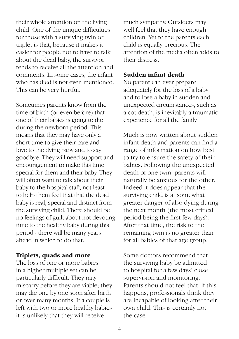their whole attention on the living child. One of the unique difficulties for those with a surviving twin or triplet is that, because it makes it easier for people not to have to talk about the dead baby, the survivor tends to receive all the attention and comments. In some cases, the infant who has died is not even mentioned. This can be very hurtful.

Sometimes parents know from the time of birth (or even before) that one of their babies is going to die during the newborn period. This means that they may have only a short time to give their care and love to the dying baby and to say goodbye. They will need support and encouragement to make this time special for them and their baby. They will often want to talk about their baby to the hospital staff, not least to help them feel that that the dead baby is real, special and distinct from the surviving child. There should be no feelings of guilt about not devoting time to the healthy baby during this period - there will be many years ahead in which to do that.

#### **Triplets, quads and more**

The loss of one or more babies in a higher multiple set can be particularly difficult. They may miscarry before they are viable; they may die one by one soon after birth or over many months. If a couple is left with two or more healthy babies it is unlikely that they will receive

much sympathy. Outsiders may well feel that they have enough children. Yet to the parents each child is equally precious. The attention of the media often adds to their distress.

#### **Sudden infant death**

No parent can ever prepare adequately for the loss of a baby and to lose a baby in sudden and unexpected circumstances, such as a cot death, is inevitably a traumatic experience for all the family.

Much is now written about sudden infant death and parents can find a range of information on how best to try to ensure the safety of their babies. Following the unexpected death of one twin, parents will naturally be anxious for the other. Indeed it does appear that the surviving child is at somewhat greater danger of also dying during the next month (the most critical period being the first few days). After that time, the risk to the remaining twin is no greater than for all babies of that age group.

Some doctors recommend that the surviving baby be admitted to hospital for a few days' close supervision and monitoring. Parents should not feel that, if this happens, professionals think they are incapable of looking after their own child. This is certainly not the case.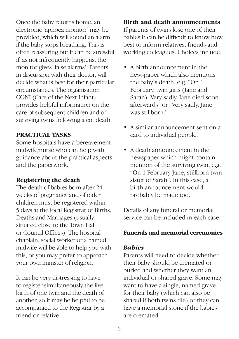Once the baby returns home, an electronic 'apnoea monitor' may be provided, which will sound an alarm if the baby stops breathing. This is often reassuring but it can be stressful if, as not infrequently happens, the monitor gives 'false alarms'. Parents, in discussion with their doctor, will decide what is best for their particular circumstances. The organisation CONI (Care of the Next Infant) provides helpful information on the care of subsequent children and of surviving twins following a cot death.

## **PRACTICAL TASKS**

Some hospitals have a bereavement midwife/nurse who can help with guidance about the practical aspects and the paperwork.

## **Registering the death**

The death of babies born after 24 weeks of pregnancy and of older children must be registered within 5 days at the local Registrar of Births, Deaths and Marriages (usually situated close to the Town Hall or Council Offices). The hospital chaplain, social worker or a named midwife will be able to help you with this, or you may prefer to approach your own minister of religion.

It can be very distressing to have to register simultaneously the live birth of one twin and the death of another, so it may be helpful to be accompanied to the Registrar by a friend or relative.

## **Birth and death announcements**

If parents of twins lose one of their babies it can be difficult to know how best to inform relatives, friends and working colleagues. Choices include:

- A birth announcement in the newspaper which also mentions the baby's death, e.g. "On 1 February, twin girls (Jane and Sarah). Very sadly, Jane died soon afterwards" or "Very sadly, Jane was stillborn."
- A similar announcement sent on a card to individual people.
- A death announcement in the newspaper which might contain mention of the surviving twin, e.g. "On 1 February Jane, stillborn twin sister of Sarah". In this case, a birth announcement would probably be made too.

Details of any funeral or memorial service can be included in each case.

## **Funerals and memorial ceremonies**

## *Babies*

Parents will need to decide whether their baby should be cremated or buried and whether they want an individual or shared grave. Some may want to have a single, named grave for their baby (which can also be shared if both twins die) or they can have a memorial stone if the babies are cremated.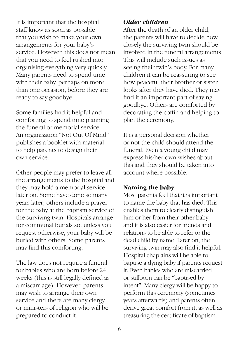It is important that the hospital staff know as soon as possible that you wish to make your own arrangements for your baby's service. However, this does not mean that you need to feel rushed into organising everything very quickly. Many parents need to spend time with their baby, perhaps on more than one occasion, before they are ready to say goodbye.

Some families find it helpful and comforting to spend time planning the funeral or memorial service. An organisation "Not Out Of Mind" publishes a booklet with material to help parents to design their own service.

Other people may prefer to leave all the arrangements to the hospital and they may hold a memorial service later on. Some have done so many years later; others include a prayer for the baby at the baptism service of the surviving twin. Hospitals arrange for communal burials so, unless you request otherwise, your baby will be buried with others. Some parents may find this comforting.

The law does not require a funeral for babies who are born before 24 weeks (this is still legally defined as a miscarriage). However, parents may wish to arrange their own service and there are many clergy or ministers of religion who will be prepared to conduct it.

#### *Older children*

After the death of an older child, the parents will have to decide how closely the surviving twin should be involved in the funeral arrangements. This will include such issues as seeing their twin's body. For many children it can be reassuring to see how peaceful their brother or sister looks after they have died. They may find it an important part of saying goodbye. Others are comforted by decorating the coffin and helping to plan the ceremony.

It is a personal decision whether or not the child should attend the funeral. Even a young child may express his/her own wishes about this and they should be taken into account where possible.

#### **Naming the baby**

Most parents feel that it is important to name the baby that has died. This enables them to clearly distinguish him or her from their other baby and it is also easier for friends and relations to be able to refer to the dead child by name. Later on, the surviving twin may also find it helpful. Hospital chaplains will be able to baptise a dying baby if parents request it. Even babies who are miscarried or stillborn can be "baptised by intent". Many clergy will be happy to perform this ceremony (sometimes years afterwards) and parents often derive great comfort from it, as well as treasuring the certificate of baptism.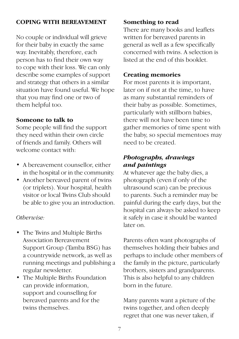#### **COPING WITH BEREAVEMENT**

No couple or individual will grieve for their baby in exactly the same way. Inevitably, therefore, each person has to find their own way to cope with their loss. We can only describe some examples of support and strategy that others in a similar situation have found useful. We hope that you may find one or two of them helpful too.

#### **Someone to talk to**

Some people will find the support they need within their own circle of friends and family. Others will welcome contact with:

- • A bereavement counsellor, either in the hospital or in the community.
- Another bereaved parent of twins (or triplets). Your hospital, health visitor or local Twins Club should be able to give you an introduction.

#### *Otherwise:*

- The Twins and Multiple Births Association Bereavement Support Group (Tamba BSG) has a countrywide network, as well as running meetings and publishing a regular newsletter.
- The Multiple Births Foundation can provide information, support and counselling for bereaved parents and for the twins themselves.

## **Something to read**

There are many books and leaflets written for bereaved parents in general as well as a few specifically concerned with twins. A selection is listed at the end of this booklet.

#### **Creating memories**

For most parents it is important, later on if not at the time, to have as many substantial reminders of their baby as possible. Sometimes, particularly with stillborn babies, there will not have been time to gather memories of time spent with the baby, so special mementoes may need to be created.

## *Photographs, drawings and paintings*

At whatever age the baby dies, a photograph (even if only of the ultrasound scan) can be precious to parents. Such a reminder may be painful during the early days, but the hospital can always be asked to keep it safely in case it should be wanted later on.

Parents often want photographs of themselves holding their babies and perhaps to include other members of the family in the picture, particularly brothers, sisters and grandparents. This is also helpful to any children born in the future.

Many parents want a picture of the twins together, and often deeply regret that one was never taken, if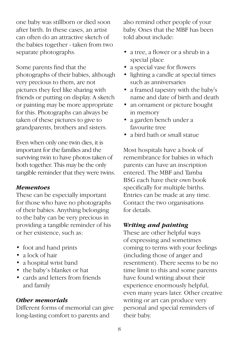one baby was stillborn or died soon after birth. In these cases, an artist can often do an attractive sketch of the babies together - taken from two separate photographs.

Some parents find that the photographs of their babies, although very precious to them, are not pictures they feel like sharing with friends or putting on display. A sketch or painting may be more appropriate for this. Photographs can always be taken of these pictures to give to grandparents, brothers and sisters.

Even when only one twin dies, it is important for the families and the surviving twin to have photos taken of both together. This may be the only tangible reminder that they were twins.

#### *Mementoes*

These can be especially important for those who have no photographs of their babies. Anything belonging to the baby can be very precious in providing a tangible reminder of his or her existence, such as:

- foot and hand prints
- a lock of hair
- a hospital wrist band
- the baby's blanket or hat
- cards and letters from friends and family

## *Other memorials*

Different forms of memorial can give long-lasting comfort to parents and

also remind other people of your baby. Ones that the MBF has been told about include:

- a tree, a flower or a shrub in a special place
- a special vase for flowers
- lighting a candle at special times such as anniversaries
- a framed tapestry with the baby's name and date of birth and death
- an ornament or picture bought in memory
- a garden bench under a favourite tree
- a bird bath or small statue

Most hospitals have a book of remembrance for babies in which parents can have an inscription entered. The MBF and Tamba BSG each have their own book specifically for multiple births. Entries can be made at any time. Contact the two organisations for details.

## *Writing and painting*

These are other helpful ways of expressing and sometimes coming to terms with your feelings (including those of anger and resentment). There seems to be no time limit to this and some parents have found writing about their experience enormously helpful, even many years later. Other creative writing or art can produce very personal and special reminders of their baby.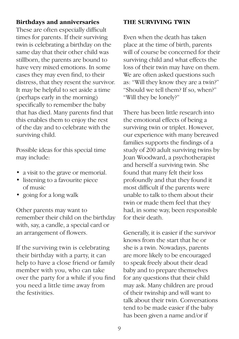#### **Birthdays and anniversaries**

These are often especially difficult times for parents. If their surviving twin is celebrating a birthday on the same day that their other child was stillborn, the parents are bound to have very mixed emotions. In some cases they may even find, to their distress, that they resent the survivor. It may be helpful to set aside a time (perhaps early in the morning) specifically to remember the baby that has died. Many parents find that this enables them to enjoy the rest of the day and to celebrate with the surviving child.

Possible ideas for this special time may include:

- a visit to the grave or memorial.
- listening to a favourite piece of music
- going for a long walk

Other parents may want to remember their child on the birthday with, say, a candle, a special card or an arrangement of flowers.

If the surviving twin is celebrating their birthday with a party, it can help to have a close friend or family member with you, who can take over the party for a while if you find you need a little time away from the festivities.

#### **THE SURVIVING TWIN**

Even when the death has taken place at the time of birth, parents will of course be concerned for their surviving child and what effects the loss of their twin may have on them. We are often asked questions such as: "Will they know they are a twin?" "Should we tell them? If so, when?" "Will they be lonely?"

There has been little research into the emotional effects of being a surviving twin or triplet. However, our experience with many bereaved families supports the findings of a study of 200 adult surviving twins by Joan Woodward, a psychotherapist and herself a surviving twin. She found that many felt their loss profoundly and that they found it most difficult if the parents were unable to talk to them about their twin or made them feel that they had, in some way, been responsible for their death.

Generally, it is easier if the survivor knows from the start that he or she is a twin. Nowadays, parents are more likely to be encouraged to speak freely about their dead baby and to prepare themselves for any questions that their child may ask. Many children are proud of their twinship and will want to talk about their twin. Conversations tend to be made easier if the baby has been given a name and/or if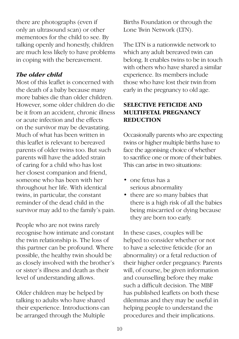there are photographs (even if only an ultrasound scan) or other mementoes for the child to see. By talking openly and honestly, children are much less likely to have problems in coping with the bereavement.

## *The older child*

Most of this leaflet is concerned with the death of a baby because many more babies die than older children. However, some older children do die be it from an accident, chronic illness or acute infection and the effects on the survivor may be devastating. Much of what has been written in this leaflet is relevant to bereaved parents of older twins too. But such parents will have the added strain of caring for a child who has lost her closest companion and friend, someone who has been with her throughout her life. With identical twins, in particular, the constant reminder of the dead child in the survivor may add to the family's pain.

People who are not twins rarely recognise how intimate and constant the twin relationship is. The loss of this partner can be profound. Where possible, the healthy twin should be as closely involved with the brother's or sister's illness and death as their level of understanding allows.

Older children may be helped by talking to adults who have shared their experience. Introductions can be arranged through the Multiple

Births Foundation or through the Lone Twin Network (LTN).

The LTN is a nationwide network to which any adult bereaved twin can belong. It enables twins to be in touch with others who have shared a similar experience. Its members include those who have lost their twin from early in the pregnancy to old age.

## **SELECTIVE FETICIDE AND MULTIFETAL PREGNANCY REDUCTION**

Occasionally parents who are expecting twins or higher multiple births have to face the agonising choice of whether to sacrifice one or more of their babies. This can arise in two situations:

- one fetus has a serious abnormality
- there are so many babies that there is a high risk of all the babies being miscarried or dying because they are born too early.

In these cases, couples will be helped to consider whether or not to have a selective feticide (for an abnormality) or a fetal reduction of their higher order pregnancy. Parents will, of course, be given information and counselling before they make such a difficult decision. The MBF has published leaflets on both these dilemmas and they may be useful in helping people to understand the procedures and their implications.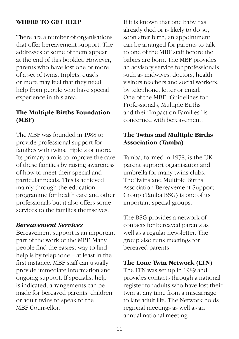#### **WHERE TO GET HELP**

There are a number of organisations that offer bereavement support. The addresses of some of them appear at the end of this booklet. However, parents who have lost one or more of a set of twins, triplets, quads or more may feel that they need help from people who have special experience in this area.

## **The Multiple Births Foundation (MBF)**

The MBF was founded in 1988 to provide professional support for families with twins, triplets or more. Its primary aim is to improve the care of these families by raising awareness of how to meet their special and particular needs. This is achieved mainly through the education programme for health care and other professionals but it also offers some services to the families themselves.

#### *Bereavement Services*

Bereavement support is an important part of the work of the MBF. Many people find the easiest way to find help is by telephone – at least in the first instance. MBF staff can usually provide immediate information and ongoing support. If specialist help is indicated, arrangements can be made for bereaved parents, children or adult twins to speak to the MBF Counsellor.

If it is known that one baby has already died or is likely to do so, soon after birth, an appointment can be arranged for parents to talk to one of the MBF staff before the babies are born. The MBF provides an advisory service for professionals such as midwives, doctors, health visitors teachers and social workers, by telephone, letter or email. One of the MBF "Guidelines for Professionals, Multiple Births and their Impact on Families" is concerned with bereavement.

## **The Twins and Multiple Births Association (Tamba)**

Tamba, formed in 1978, is the UK parent support organisation and umbrella for many twins clubs. The Twins and Multiple Births Association Bereavement Support Group (Tamba BSG) is one of its important special groups.

The BSG provides a network of contacts for bereaved parents as well as a regular newsletter. The group also runs meetings for bereaved parents.

#### **The Lone Twin Network (LTN)**

The LTN was set up in 1989 and provides contacts through a national register for adults who have lost their twin at any time from a miscarriage to late adult life. The Network holds regional meetings as well as an annual national meeting.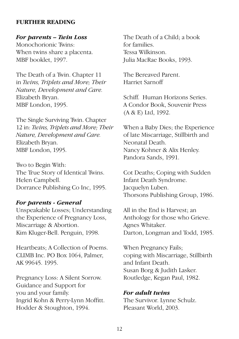#### **FURTHER READING**

#### *For parents – Twin Loss*

Monochorionic Twins: When twins share a placenta. MBF booklet, 1997.

The Death of a Twin. Chapter 11 in *Twins, Triplets and More; Their Nature, Development and Care.* Elizabeth Bryan. MBF London, 1995.

The Single Surviving Twin. Chapter 12 in: *Twins, Triplets and More; Their Nature, Development and Care.* Elizabeth Bryan. MBF London, 1995.

Two to Begin With: The True Story of Identical Twins. Helen Campbell. Dorrance Publishing Co Inc, 1995.

#### *For parents - General*

Unspeakable Losses; Understanding the Experience of Pregnancy Loss, Miscarriage & Abortion. Kim Kluger-Bell. Penguin, 1998.

Heartbeats; A Collection of Poems. CLIMB Inc. PO Box 1064, Palmer, AK 99645. 1995.

Pregnancy Loss: A Silent Sorrow. Guidance and Support for you and your family. Ingrid Kohn & Perry-Lynn Moffitt. Hodder & Stoughton, 1994.

The Death of a Child; a book for families. Tessa Wilkinson. Julia MacRae Books, 1993.

The Bereaved Parent. Harriet Sarnoff

Schiff. Human Horizons Series. A Condor Book, Souvenir Press (A & E) Ltd, 1992.

When a Baby Dies; the Experience of late Miscarriage, Stillbirth and Neonatal Death. Nancy Kohner & Alix Henley. Pandora Sands, 1991.

Cot Deaths; Coping with Sudden Infant Death Syndrome. Jacquelyn Luben. Thorsons Publishing Group, 1986.

All in the End is Harvest; an Anthology for those who Grieve. Agnes Whitaker. Darton, Longman and Todd, 1985.

When Pregnancy Fails; coping with Miscarriage, Stillbirth and Infant Death. Susan Borg & Judith Lasker. Routledge, Kegan Paul, 1982.

#### *For adult twins*

The Survivor. Lynne Schulz. Pleasant World, 2003.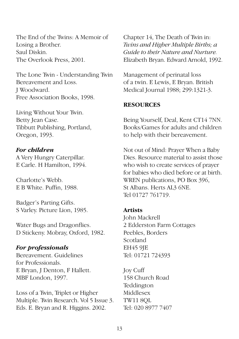The End of the Twins: A Memoir of Losing a Brother. Saul Diskin. The Overlook Press, 2001.

The Lone Twin - Understanding Twin Bereavement and Loss. J Woodward. Free Association Books, 1998.

Living Without Your Twin. Betty Jean Case. Tibbutt Publishing, Portland, Oregon, 1993.

#### *For children*

A Very Hungry Caterpillar. E Carle. H Hamilton, 1994.

Charlotte's Webb. E B White. Puffin, 1988.

Badger's Parting Gifts. S Varley. Picture Lion, 1985.

Water Bugs and Dragonflies. D Stickeny. Mobray, Oxford, 1982.

#### *For professionals*

Bereavement. Guidelines for Professionals. E Bryan, J Denton, F Hallett. MBF London, 1997.

Loss of a Twin, Triplet or Higher Multiple. Twin Research. Vol 5 Issue 3. Eds. E. Bryan and R. Higgins. 2002.

Chapter 14, The Death of Twin in: *Twins and Higher Multiple Births; a Guide to their Nature and Nurture.*  Elizabeth Bryan. Edward Arnold, 1992.

Management of perinatal loss of a twin. E Lewis, E Bryan. British Medical Journal 1988; 299:1321-3.

#### **RESOURCES**

Being Yourself, Deal, Kent CT14 7NN. Books/Games for adults and children to help with their bereavement.

Not out of Mind: Prayer When a Baby Dies. Resource material to assist those who wish to create services of prayer for babies who died before or at birth. WREN publications, PO Box 396, St Albans. Herts AL3 6NE. Tel 01727 761719.

#### **Artists**

John Mackrell 2 Edderston Farm Cottages Peebles, Borders Scotland EH45 9JE Tel: 01721 724393

Joy Cuff 158 Church Road Teddington Middlesex TW11 8QL Tel: 020 8977 7407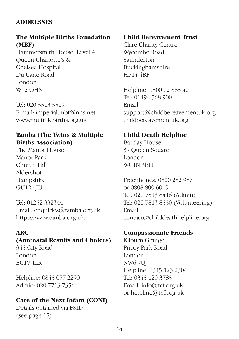## **ADDRESSES**

## **The Multiple Births Foundation (MBF)**

Hammersmith House, Level 4 Queen Charlotte's & Chelsea Hospital Du Cane Road London W12 OHS

Tel: 020 3313 3519 E-mail: imperial.mbf@nhs.net www.multiplebirths.org.uk

## **Tamba (The Twins & Multiple Births Association)**

The Manor House Manor Park Church Hill Aldershot Hampshire GU12 4JU

Tel: 01252 332344 Email: enquiries@tamba.org.uk https://www.tamba.org.uk/

## **ARC**

## **(Antenatal Results and Choices)**

345 City Road London EC1V 1LR

Helpline: 0845 077 2290 Admin: 020 7713 7356

## **Care of the Next Infant (CONI)**

Details obtained via FSID (see page 15)

## **Child Bereavement Trust**

Clare Charity Centre Wycombe Road Saunderton Buckinghamshire HP14 4BF

Helpline: 0800 02 888 40 Tel: 01494 568 900 Email: support@childbereavementuk.org childbereavementuk.org

## **Child Death Helpline**

Barclay House 37 Queen Square London WC1N 3BH

Freephones: 0800 282 986 or 0808 800 6019 Tel: 020 7813 8416 (Admin) Tel: 020 7813 8550 (Volunteering) Email: contact@childdeathhelpline.org

## **Compassionate Friends**

Kilburn Grange Priory Park Road London NW<sub>6</sub>7UI Helpline: 0345 123 2304 Tel: 0345 120 3785 Email: info@tcf.org.uk or helpline@tcf.org.uk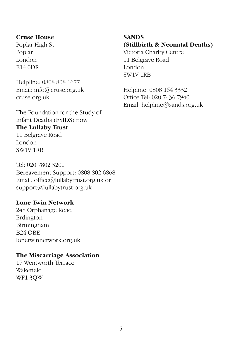#### **Cruse House**

Poplar High St Poplar London E14 0DR

Helpline: 0808 808 1677 Email: info@cruse.org.uk cruse.org.uk

The Foundation for the Study of Infant Deaths (FSIDS) now

## **The Lullaby Trust**

11 Belgrave Road London SW1V 1RB

Tel: 020 7802 3200 Bereavement Support: 0808 802 6868 Email: office@lullabytrust.org.uk or support@lullabytrust.org.uk

#### **Lone Twin Network**

248 Orphanage Road Erdington Birmingham B24 OBE lonetwinnetwork.org.uk

#### **The Miscarriage Association**

17 Wentworth Terrace Wakefield WF1 3QW

## **SANDS (Stillbirth & Neonatal Deaths)**

Victoria Charity Centre 11 Belgrave Road London SW1V 1RB

Helpline: 0808 164 3332 Office Tel: 020 7436 7940 Email: helpline@sands.org.uk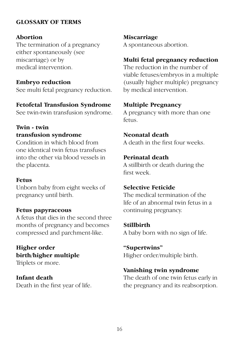### **GLOSSARY OF TERMS**

#### **Abortion**

The termination of a pregnancy either spontaneously (see miscarriage) or by medical intervention.

#### **Embryo reduction**

See multi fetal pregnancy reduction.

#### **Fetofetal Transfusion Syndrome**

See twin-twin transfusion syndrome.

## **Twin - twin transfusion syndrome**

Condition in which blood from one identical twin fetus transfuses into the other via blood vessels in the placenta.

#### **Fetus**

Unborn baby from eight weeks of pregnancy until birth.

#### **Fetus papyraceous**

A fetus that dies in the second three months of pregnancy and becomes compressed and parchment-like.

**Higher order birth/higher multiple**

Triplets or more.

**Infant death** Death in the first year of life. **Miscarriage** A spontaneous abortion.

## **Multi fetal pregnancy reduction**

The reduction in the number of viable fetuses/embryos in a multiple (usually higher multiple) pregnancy by medical intervention.

### **Multiple Pregnancy**

A pregnancy with more than one fetus.

## **Neonatal death**

A death in the first four weeks.

### **Perinatal death**

A stillbirth or death during the first week.

## **Selective Feticide**

The medical termination of the life of an abnormal twin fetus in a continuing pregnancy.

#### **Stillbirth**

A baby born with no sign of life.

#### **"Supertwins"**

Higher order/multiple birth.

## **Vanishing twin syndrome**

The death of one twin fetus early in the pregnancy and its reabsorption.